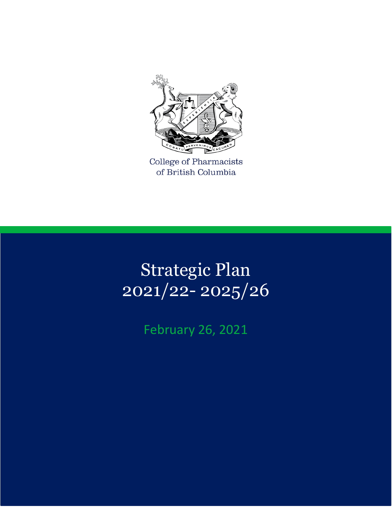

College of Pharmacists of British Columbia

# Strategic Plan 2021/22- 2025/26

## February 26, 2021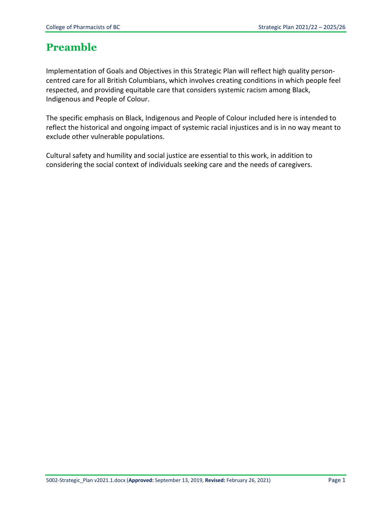### **Preamble**

Implementation of Goals and Objectives in this Strategic Plan will reflect high quality personcentred care for all British Columbians, which involves creating conditions in which people feel respected, and providing equitable care that considers systemic racism among Black, Indigenous and People of Colour.

The specific emphasis on Black, Indigenous and People of Colour included here is intended to reflect the historical and ongoing impact of systemic racial injustices and is in no way meant to exclude other vulnerable populations.

Cultural safety and humility and social justice are essential to this work, in addition to considering the social context of individuals seeking care and the needs of caregivers.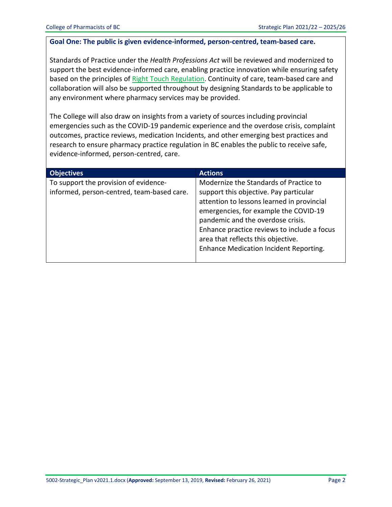#### **Goal One: The public is given evidence-informed, person-centred, team-based care.**

Standards of Practice under the *Health Professions Act* will be reviewed and modernized to support the best evidence-informed care, enabling practice innovation while ensuring safety based on the principles of [Right Touch Regulation.](https://www.professionalstandards.org.uk/what-we-do/improving-regulation/right-touch-regulation) Continuity of care, team-based care and collaboration will also be supported throughout by designing Standards to be applicable to any environment where pharmacy services may be provided.

The College will also draw on insights from a variety of sources including provincial emergencies such as the COVID-19 pandemic experience and the overdose crisis, complaint outcomes, practice reviews, medication Incidents, and other emerging best practices and research to ensure pharmacy practice regulation in BC enables the public to receive safe, evidence-informed, person-centred, care.

| <b>Objectives</b>                                                                   | <b>Actions</b>                                                                                                                                                                                                                                                                                                                              |
|-------------------------------------------------------------------------------------|---------------------------------------------------------------------------------------------------------------------------------------------------------------------------------------------------------------------------------------------------------------------------------------------------------------------------------------------|
| To support the provision of evidence-<br>informed, person-centred, team-based care. | Modernize the Standards of Practice to<br>support this objective. Pay particular<br>attention to lessons learned in provincial<br>emergencies, for example the COVID-19<br>pandemic and the overdose crisis.<br>Enhance practice reviews to include a focus<br>area that reflects this objective.<br>Enhance Medication Incident Reporting. |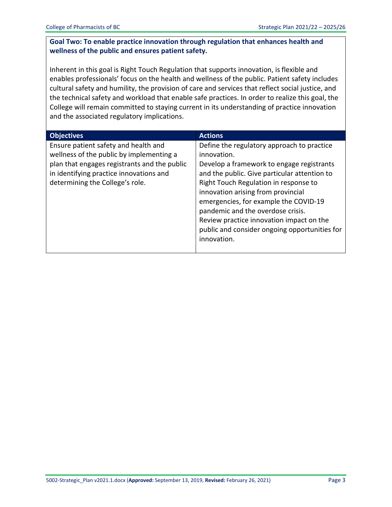#### **Goal Two: To enable practice innovation through regulation that enhances health and wellness of the public and ensures patient safety.**

Inherent in this goal is Right Touch Regulation that supports innovation, is flexible and enables professionals' focus on the health and wellness of the public. Patient safety includes cultural safety and humility, the provision of care and services that reflect social justice, and the technical safety and workload that enable safe practices. In order to realize this goal, the College will remain committed to staying current in its understanding of practice innovation and the associated regulatory implications.

| <b>Objectives</b>                                                                                                                | <b>Actions</b>                                                                                                                                                                                                                                                                                                        |
|----------------------------------------------------------------------------------------------------------------------------------|-----------------------------------------------------------------------------------------------------------------------------------------------------------------------------------------------------------------------------------------------------------------------------------------------------------------------|
| Ensure patient safety and health and<br>wellness of the public by implementing a<br>plan that engages registrants and the public | Define the regulatory approach to practice<br>innovation.<br>Develop a framework to engage registrants                                                                                                                                                                                                                |
| in identifying practice innovations and<br>determining the College's role.                                                       | and the public. Give particular attention to<br>Right Touch Regulation in response to<br>innovation arising from provincial<br>emergencies, for example the COVID-19<br>pandemic and the overdose crisis.<br>Review practice innovation impact on the<br>public and consider ongoing opportunities for<br>innovation. |
|                                                                                                                                  |                                                                                                                                                                                                                                                                                                                       |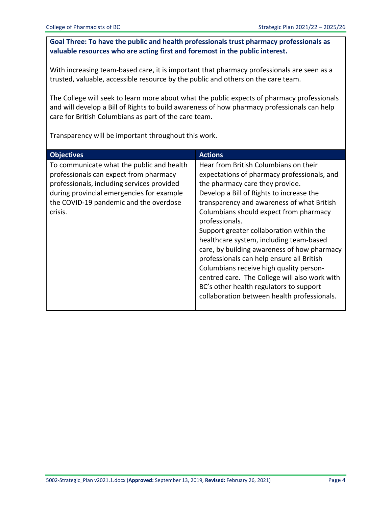#### **Goal Three: To have the public and health professionals trust pharmacy professionals as valuable resources who are acting first and foremost in the public interest.**

With increasing team-based care, it is important that pharmacy professionals are seen as a trusted, valuable, accessible resource by the public and others on the care team.

The College will seek to learn more about what the public expects of pharmacy professionals and will develop a Bill of Rights to build awareness of how pharmacy professionals can help care for British Columbians as part of the care team.

Transparency will be important throughout this work.

| <b>Objectives</b>                                                                                                                                                                                                                   | <b>Actions</b>                                                                                                                                                                                                                                                                                                                                                                                                                                                                                                                                                                                                                                         |
|-------------------------------------------------------------------------------------------------------------------------------------------------------------------------------------------------------------------------------------|--------------------------------------------------------------------------------------------------------------------------------------------------------------------------------------------------------------------------------------------------------------------------------------------------------------------------------------------------------------------------------------------------------------------------------------------------------------------------------------------------------------------------------------------------------------------------------------------------------------------------------------------------------|
| To communicate what the public and health<br>professionals can expect from pharmacy<br>professionals, including services provided<br>during provincial emergencies for example<br>the COVID-19 pandemic and the overdose<br>crisis. | Hear from British Columbians on their<br>expectations of pharmacy professionals, and<br>the pharmacy care they provide.<br>Develop a Bill of Rights to increase the<br>transparency and awareness of what British<br>Columbians should expect from pharmacy<br>professionals.<br>Support greater collaboration within the<br>healthcare system, including team-based<br>care, by building awareness of how pharmacy<br>professionals can help ensure all British<br>Columbians receive high quality person-<br>centred care. The College will also work with<br>BC's other health regulators to support<br>collaboration between health professionals. |